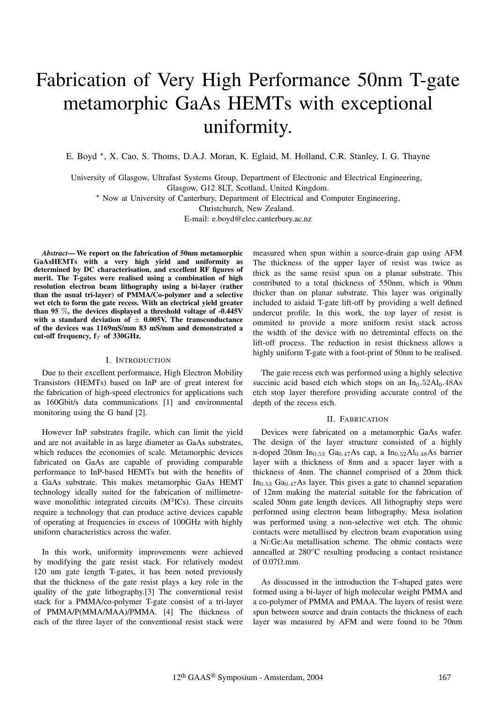# Fabrication of Very High Performance 50nm T-gate metamorphic GaAs HEMTs with exceptional uniformity.

E. Boyd  $\star$ , X. Cao, S. Thoms, D.A.J. Moran, K. Eglaid, M. Holland, C.R. Stanley, I. G. Thayne

University of Glasgow, Ultrafast Systems Group, Department of Electronic and Electrical Engineering, Glasgow, G12 8LT, Scotland, United Kingdom. \* Now at University of Canterbury, Department of Electrical and Computer Engineering,

Christchurch, New Zealand.

E-mail: e.boyd@elec.canterbury.ac.nz

*Abstract***— We report on the fabrication of 50nm metamorphic GaAsHEMTs with a very high yield and uniformity as determined by DC characterisation, and excellent RF figures of merit. The T-gates were realised using a combination of high resolution electron beam lithography using a bi-layer (rather than the usual tri-layer) of PMMA/Co-polymer and a selective wet etch to form the gate recess. With an electrical yield greater than 95** %**, the devices displayed a threshold voltage of -0.445V with a standard deviation of** *±* **0.005V. The transconductance of the devices was 1169mS/mm 83 mS/mm and demonstrated a cut-off frequency, f***<sup>T</sup>* **of 330GHz.**

### I. INTRODUCTION

Due to their excellent performance, High Electron Mobility Transistors (HEMTs) based on InP are of great interest for the fabrication of high-speed electronics for applications such as 160Gbit/s data communications [1] and environmental monitoring using the G band [2].

However InP substrates fragile, which can limit the yield and are not available in as large diameter as GaAs substrates, which reduces the economies of scale. Metamorphic devices fabricated on GaAs are capable of providing comparable performance to InP-based HEMTs but with the benefits of a GaAs substrate. This makes metamorphic GaAs HEMT technology ideally suited for the fabrication of millimetrewave monolithic integrated circuits  $(M<sup>3</sup>ICs)$ . These circuits require a technology that can produce active devices capable of operating at frequencies in excess of 100GHz with highly uniform characteristics across the wafer.

In this work, uniformity improvements were achieved by modifying the gate resist stack. For relatively modest 120 nm gate length T-gates, it has been noted previously that the thickness of the gate resist plays a key role in the quality of the gate lithography.[3] The converntional resist stack for a PMMA/co-polymer T-gate consist of a tri-layer of PMMA/P(MMA/MAA)/PMMA. [4] The thickness of each of the three layer of the conventional resist stack were measured when spun within a source-drain gap using AFM The thickness of the upper layer of resist was twice as thick as the same resist spun on a planar substrate. This contributed to a total thickness of 550nm, which is 90nm thicker than on planar substrate. This layer was originally included to aidaid T-gate lift-off by providing a well defined undercut profile. In this work, the top layer of resist is ommited to provide a more uniform resist stack across the width of the device with no detremintal effects on the lift-off process. The reduction in resist thickness allows a highly uniform T-gate with a foot-print of 50nm to be realised.

The gate recess etch was performed using a highly selective succinic acid based etch which stops on an In<sub>0</sub>.52Al<sub>0</sub>.48As etch stop layer therefore providing accurate control of the depth of the recess etch.

### II. FABRICATION

Devices were fabricated on a metamorphic GaAs wafer. The design of the layer structure consisted of a highly n-doped 20nm In<sub>0.53</sub> Ga<sub>0.47</sub>As cap, a In<sub>0.52</sub>Al<sub>0.48</sub>As barrier layer with a thickness of 8nm and a spacer layer with a thickness of 4nm. The channel comprised of a 20nm thick  $In<sub>0.53</sub> Ga<sub>0.47</sub> As layer. This gives a gate to channel separation$ of 12nm making the material suitable for the fabrication of scaled 50nm gate length devices. All lithography steps were performed using electron beam lithography. Mesa isolation was performed using a non-selective wet etch. The ohmic contacts were metallised by electron beam evaporation using a Ni:Ge:Au metallisation scheme. The ohmic contacts were annealled at  $280^{\circ}$ C resulting producing a contact resistance of 0.07Ω.mm.

As disscussed in the introduction the T-shaped gates were formed using a bi-layer of high molecular weight PMMA and a co-polymer of PMMA and PMAA. The layers of resist were spun between source and drain contacts the thickness of each layer was measured by AFM and were found to be 70nm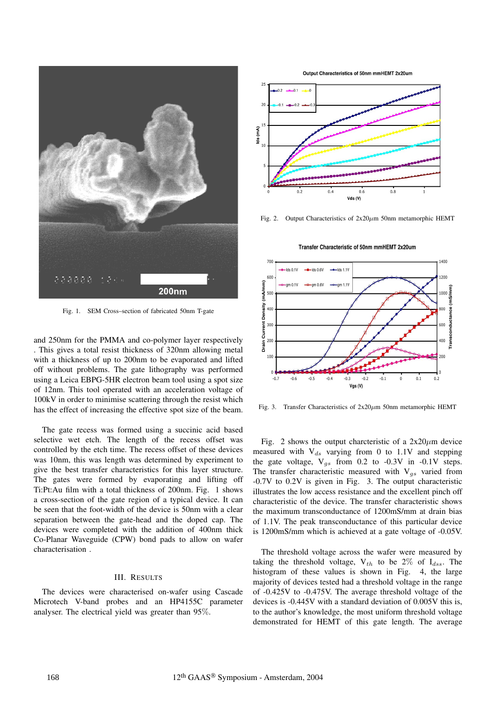

Fig. 1. SEM Cross–section of fabricated 50nm T-gate

and 250nm for the PMMA and co-polymer layer respectively . This gives a total resist thickness of 320nm allowing metal with a thickness of up to 200nm to be evaporated and lifted off without problems. The gate lithography was performed using a Leica EBPG-5HR electron beam tool using a spot size of 12nm. This tool operated with an acceleration voltage of 100kV in order to minimise scattering through the resist which has the effect of increasing the effective spot size of the beam.

The gate recess was formed using a succinic acid based selective wet etch. The length of the recess offset was controlled by the etch time. The recess offset of these devices was 10nm, this was length was determined by experiment to give the best transfer characteristics for this layer structure. The gates were formed by evaporating and lifting off Ti:Pt:Au film with a total thickness of 200nm. Fig. 1 shows a cross-section of the gate region of a typical device. It can be seen that the foot-width of the device is 50nm with a clear separation between the gate-head and the doped cap. The devices were completed with the addition of 400nm thick Co-Planar Waveguide (CPW) bond pads to allow on wafer characterisation .

#### III. RESULTS

The devices were characterised on-wafer using Cascade Microtech V-band probes and an HP4155C parameter analyser. The electrical yield was greater than 95%.

Output Characteristics of 50nm mmHEMT 2x20um



Fig. 2. Output Characteristics of  $2x20 \mu m$  50nm metamorphic HEMT



Fig. 3. Transfer Characteristics of  $2x20 \mu m$  50nm metamorphic HEMT

Fig. 2 shows the output charcteristic of a  $2x20 \mu m$  device measured with  $V_{ds}$  varying from 0 to 1.1V and stepping the gate voltage,  $V_{qs}$  from 0.2 to -0.3V in -0.1V steps. The transfer characteristic measured with  $V_{gs}$  varied from -0.7V to 0.2V is given in Fig. 3. The output characteristic illustrates the low access resistance and the excellent pinch off characteristic of the device. The transfer characteristic shows the maximum transconductance of 1200mS/mm at drain bias of 1.1V. The peak transconductance of this particular device is 1200mS/mm which is achieved at a gate voltage of -0.05V.

The threshold voltage across the wafer were measured by taking the threshold voltage,  $V_{th}$  to be 2% of  $I_{dss}$ . The histogram of these values is shown in Fig. 4, the large majority of devices tested had a threshold voltage in the range of -0.425V to -0.475V. The average threshold voltage of the devices is -0.445V with a standard deviation of 0.005V this is, to the author's knowledge, the most uniform threshold voltage demonstrated for HEMT of this gate length. The average